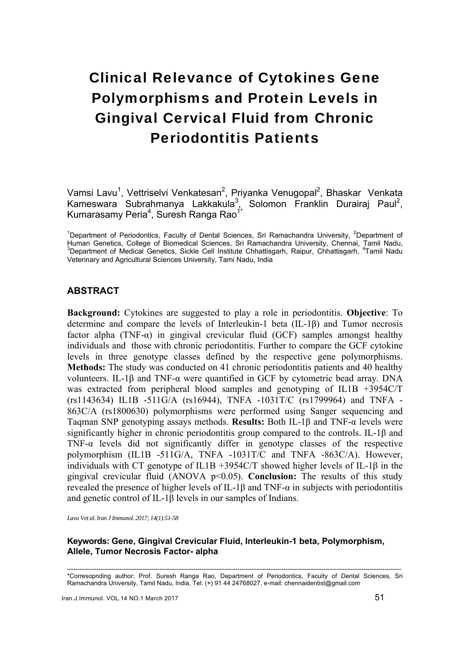# Clinical Relevance of Cytokines Gene Polymorphisms and Protein Levels in Gingival Cervical Fluid from Chronic Periodontitis Patients

Vamsi Lavu<sup>1</sup>, Vettriselvi Venkatesan<sup>2</sup>, Priyanka Venugopal<sup>2</sup>, Bhaskar Venkata Kameswara Subrahmanya Lakkakula<sup>3</sup>, Solomon Franklin Durairaj Paul<sup>2</sup>, Kumarasamy Peria<sup>4</sup>, Suresh Ranga Rao<sup>1\*</sup>

<sup>1</sup>Department of Periodontics, Faculty of Dental Sciences, Sri Ramachandra University, <sup>2</sup>Department of Human Genetics, College of Biomedical Sciences, Sri Ramachandra University, Chennai, Tamil Nadu,<br><sup>3</sup>Department of Medical Genetics, Sickle Cell Institute Chhattisgarh, Raipur, Chhattisgarh, <sup>4</sup>Tamil Nadu Veterinary and Agricultural Sciences University, Tami Nadu, India

# **ABSTRACT**

**Background:** Cytokines are suggested to play a role in periodontitis. **Objective**: To determine and compare the levels of Interleukin-1 beta (IL-1β) and Tumor necrosis factor alpha (TNF- $\alpha$ ) in gingival crevicular fluid (GCF) samples amongst healthy individuals and those with chronic periodontitis. Further to compare the GCF cytokine levels in three genotype classes defined by the respective gene polymorphisms. **Methods:** The study was conducted on 41 chronic periodontitis patients and 40 healthy volunteers. IL-1β and TNF-α were quantified in GCF by cytometric bead array. DNA was extracted from peripheral blood samples and genotyping of IL1B +3954C/T (rs1143634) IL1B -511G/A (rs16944), TNFA -1031T/C (rs1799964) and TNFA - 863C/A (rs1800630) polymorphisms were performed using Sanger sequencing and Taqman SNP genotyping assays methods. **Results:** Both IL-1β and TNF-α levels were significantly higher in chronic periodontitis group compared to the controls. IL-1β and TNF-α levels did not significantly differ in genotype classes of the respective polymorphism (IL1B -511G/A, TNFA -1031T/C and TNFA -863C/A). However, individuals with CT genotype of IL1B +3954C/T showed higher levels of IL-1β in the gingival crevicular fluid (ANOVA p<0.05). **Conclusion:** The results of this study revealed the presence of higher levels of IL-1β and TNF-α in subjects with periodontitis and genetic control of IL-1β levels in our samples of Indians.

*Lavu Vet al. Iran J Immunol. 2017; 14(1):51-58* 

## **Keywords: Gene, Gingival Crevicular Fluid, Interleukin-1 beta, Polymorphism, Allele, Tumor Necrosis Factor- alpha**

<sup>---------------------------------------------------------------------------------------------------------------------------------------------------------------</sup>  \*Corresopnding author: Prof. Suresh Ranga Rao, Department of Periodontics, Faculty of Dental Sciences, Sri Ramachandra University, Tamil Nadu, India, Tel: (+) 91 44 24768027, e-mail: chennaidentist@gmail.com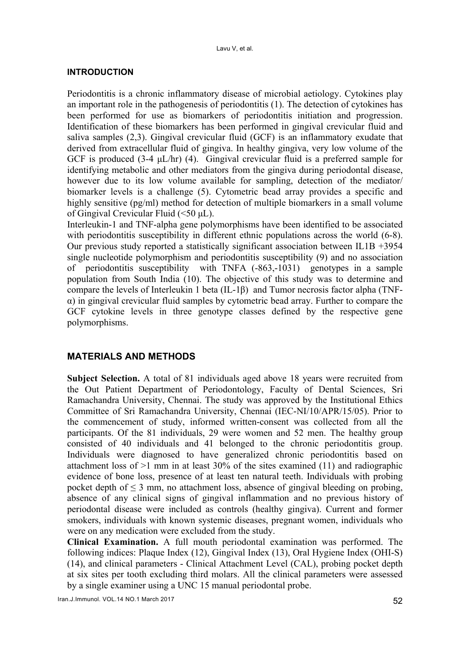# **INTRODUCTION**

Periodontitis is a chronic inflammatory disease of microbial aetiology. Cytokines play an important role in the pathogenesis of periodontitis (1). The detection of cytokines has been performed for use as biomarkers of periodontitis initiation and progression. Identification of these biomarkers has been performed in gingival crevicular fluid and saliva samples (2,3). Gingival crevicular fluid (GCF) is an inflammatory exudate that derived from extracellular fluid of gingiva. In healthy gingiva, very low volume of the GCF is produced  $(3-4 \mu L/hr)$  (4). Gingival crevicular fluid is a preferred sample for identifying metabolic and other mediators from the gingiva during periodontal disease, however due to its low volume available for sampling, detection of the mediator/ biomarker levels is a challenge (5). Cytometric bead array provides a specific and highly sensitive (pg/ml) method for detection of multiple biomarkers in a small volume of Gingival Crevicular Fluid (<50 μL).

Interleukin-1 and TNF-alpha gene polymorphisms have been identified to be associated with periodontitis susceptibility in different ethnic populations across the world  $(6-8)$ . Our previous study reported a statistically significant association between IL1B +3954 single nucleotide polymorphism and periodontitis susceptibility (9) and no association of periodontitis susceptibility with TNFA (-863,-1031) genotypes in a sample population from South India (10). The objective of this study was to determine and compare the levels of Interleukin 1 beta (IL-1β) and Tumor necrosis factor alpha (TNFα) in gingival crevicular fluid samples by cytometric bead array. Further to compare the GCF cytokine levels in three genotype classes defined by the respective gene polymorphisms.

# **MATERIALS AND METHODS**

**Subject Selection.** A total of 81 individuals aged above 18 years were recruited from the Out Patient Department of Periodontology, Faculty of Dental Sciences, Sri Ramachandra University, Chennai. The study was approved by the Institutional Ethics Committee of Sri Ramachandra University, Chennai (IEC-NI/10/APR/15/05). Prior to the commencement of study, informed written-consent was collected from all the participants. Of the 81 individuals, 29 were women and 52 men. The healthy group consisted of 40 individuals and 41 belonged to the chronic periodontitis group. Individuals were diagnosed to have generalized chronic periodontitis based on attachment loss of >1 mm in at least 30% of the sites examined (11) and radiographic evidence of bone loss, presence of at least ten natural teeth. Individuals with probing pocket depth of  $\leq$  3 mm, no attachment loss, absence of gingival bleeding on probing, absence of any clinical signs of gingival inflammation and no previous history of periodontal disease were included as controls (healthy gingiva). Current and former smokers, individuals with known systemic diseases, pregnant women, individuals who were on any medication were excluded from the study.

**Clinical Examination.** A full mouth periodontal examination was performed. The following indices: Plaque Index (12), Gingival Index (13), Oral Hygiene Index (OHI-S) (14), and clinical parameters - Clinical Attachment Level (CAL), probing pocket depth at six sites per tooth excluding third molars. All the clinical parameters were assessed by a single examiner using a UNC 15 manual periodontal probe.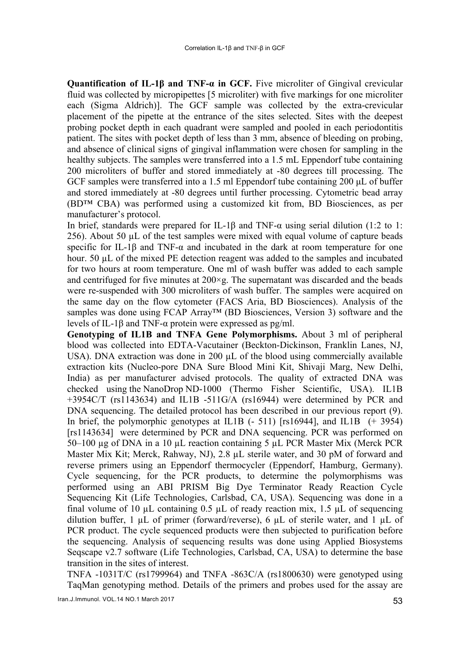**Quantification of IL-1β and TNF-α in GCF.** Five microliter of Gingival crevicular fluid was collected by micropipettes [5 microliter) with five markings for one microliter each (Sigma Aldrich)]. The GCF sample was collected by the extra-crevicular placement of the pipette at the entrance of the sites selected. Sites with the deepest probing pocket depth in each quadrant were sampled and pooled in each periodontitis patient. The sites with pocket depth of less than 3 mm, absence of bleeding on probing, and absence of clinical signs of gingival inflammation were chosen for sampling in the healthy subjects. The samples were transferred into a 1.5 mL Eppendorf tube containing 200 microliters of buffer and stored immediately at -80 degrees till processing. The GCF samples were transferred into a 1.5 ml Eppendorf tube containing 200 μL of buffer and stored immediately at -80 degrees until further processing. Cytometric bead array (BD™ CBA) was performed using a customized kit from, BD Biosciences, as per manufacturer's protocol.

In brief, standards were prepared for IL-1β and TNF- $\alpha$  using serial dilution (1:2 to 1: 256). About 50 µL of the test samples were mixed with equal volume of capture beads specific for IL-1 $\beta$  and TNF- $\alpha$  and incubated in the dark at room temperature for one hour. 50 µL of the mixed PE detection reagent was added to the samples and incubated for two hours at room temperature. One ml of wash buffer was added to each sample and centrifuged for five minutes at  $200 \times g$ . The supernatant was discarded and the beads were re-suspended with 300 microliters of wash buffer. The samples were acquired on the same day on the flow cytometer (FACS Aria, BD Biosciences). Analysis of the samples was done using FCAP Array™ (BD Biosciences, Version 3) software and the levels of IL-1β and TNF-α protein were expressed as pg/ml.

**Genotyping of IL1B and TNFA Gene Polymorphisms.** About 3 ml of peripheral blood was collected into EDTA-Vacutainer (Beckton-Dickinson, Franklin Lanes, NJ, USA). DNA extraction was done in 200 µL of the blood using commercially available extraction kits (Nucleo-pore DNA Sure Blood Mini Kit, Shivaji Marg, New Delhi, India) as per manufacturer advised protocols. The quality of extracted DNA was checked using the NanoDrop ND-1000 (Thermo Fisher Scientific, USA). IL1B +3954C/T (rs1143634) and IL1B -511G/A (rs16944) were determined by PCR and DNA sequencing. The detailed protocol has been described in our previous report (9). In brief, the polymorphic genotypes at IL1B  $(-511)$  [rs16944], and IL1B  $(+3954)$ [rs1143634] were determined by PCR and DNA sequencing. PCR was performed on 50–100 µg of DNA in a 10 µL reaction containing 5 µL PCR Master Mix (Merck PCR Master Mix Kit; Merck, Rahway, NJ), 2.8 µL sterile water, and 30 pM of forward and reverse primers using an Eppendorf thermocycler (Eppendorf, Hamburg, Germany). Cycle sequencing, for the PCR products, to determine the polymorphisms was performed using an ABI PRISM Big Dye Terminator Ready Reaction Cycle Sequencing Kit (Life Technologies, Carlsbad, CA, USA). Sequencing was done in a final volume of 10  $\mu$ L containing 0.5  $\mu$ L of ready reaction mix, 1.5  $\mu$ L of sequencing dilution buffer,  $1 \mu L$  of primer (forward/reverse), 6  $\mu L$  of sterile water, and  $1 \mu L$  of PCR product. The cycle sequenced products were then subjected to purification before the sequencing. Analysis of sequencing results was done using Applied Biosystems Seqscape v2.7 software (Life Technologies, Carlsbad, CA, USA) to determine the base transition in the sites of interest.

TNFA -1031T/C (rs1799964) and TNFA -863C/A (rs1800630) were genotyped using TaqMan genotyping method. Details of the primers and probes used for the assay are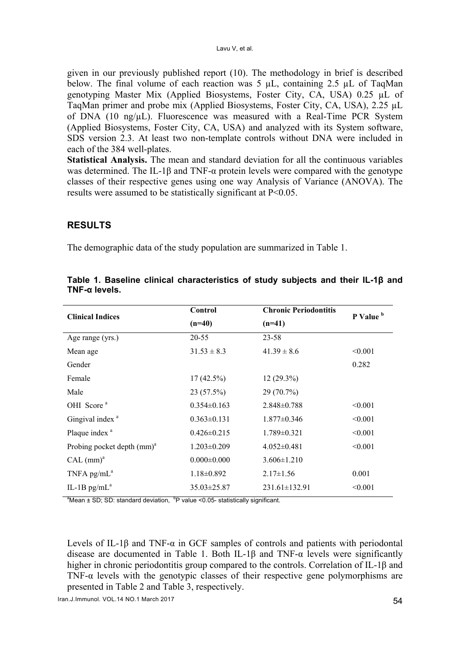given in our previously published report (10). The methodology in brief is described below. The final volume of each reaction was  $5 \mu L$ , containing 2.5  $\mu L$  of TaqMan genotyping Master Mix (Applied Biosystems, Foster City, CA, USA) 0.25 µL of TaqMan primer and probe mix (Applied Biosystems, Foster City, CA, USA), 2.25 µL of DNA  $(10 \text{ ng/}\mu L)$ . Fluorescence was measured with a Real-Time PCR System (Applied Biosystems, Foster City, CA, USA) and analyzed with its System software, SDS version 2.3. At least two non-template controls without DNA were included in each of the 384 well-plates.

**Statistical Analysis.** The mean and standard deviation for all the continuous variables was determined. The IL-1 $\beta$  and TNF- $\alpha$  protein levels were compared with the genotype classes of their respective genes using one way Analysis of Variance (ANOVA). The results were assumed to be statistically significant at P<0.05.

# **RESULTS**

The demographic data of the study population are summarized in Table 1.

| <b>Clinical Indices</b>       | Control           | <b>Chronic Periodontitis</b> | P Value <sup>b</sup> |  |
|-------------------------------|-------------------|------------------------------|----------------------|--|
|                               | $(n=40)$          | $(n=41)$                     |                      |  |
| Age range (yrs.)              | 20-55             | $23 - 58$                    |                      |  |
| Mean age                      | $31.53 \pm 8.3$   | $41.39 \pm 8.6$              | < 0.001              |  |
| Gender                        |                   |                              | 0.282                |  |
| Female                        | $17(42.5\%)$      | $12(29.3\%)$                 |                      |  |
| Male                          | 23(57.5%)         | 29 (70.7%)                   |                      |  |
| OHI Score <sup>a</sup>        | $0.354\pm0.163$   | $2.848 \pm 0.788$            | < 0.001              |  |
| Gingival index <sup>a</sup>   | $0.363 \pm 0.131$ | $1.877 \pm 0.346$            | < 0.001              |  |
| Plaque index <sup>a</sup>     | $0.426 \pm 0.215$ | $1.789 \pm 0.321$            | < 0.001              |  |
| Probing pocket depth $(mm)^a$ | $1.203 \pm 0.209$ | $4.052 \pm 0.481$            | < 0.001              |  |
| CAL (mm) <sup>a</sup>         | $0.000 \pm 0.000$ | $3.606 \pm 1.210$            |                      |  |
| TNFA $pg/mL^a$                | $1.18 \pm 0.892$  | $2.17 \pm 1.56$              | 0.001                |  |
| IL-1B $pg/mL^a$               | $35.03 \pm 25.87$ | $231.61 \pm 132.91$          | < 0.001              |  |
|                               |                   |                              |                      |  |

|                          |  | Table 1. Baseline clinical characteristics of study subjects and their IL-1 $\beta$ and |  |  |  |
|--------------------------|--|-----------------------------------------------------------------------------------------|--|--|--|
| $TNF$ - $\alpha$ levels. |  |                                                                                         |  |  |  |

<sup>a</sup>Mean  $\pm$  SD; SD: standard deviation,  $P$  value <0.05- statistically significant.

Levels of IL-1β and TNF- $\alpha$  in GCF samples of controls and patients with periodontal disease are documented in Table 1. Both IL-1β and TNF- $\alpha$  levels were significantly higher in chronic periodontitis group compared to the controls. Correlation of IL-1β and TNF- $\alpha$  levels with the genotypic classes of their respective gene polymorphisms are presented in Table 2 and Table 3, respectively.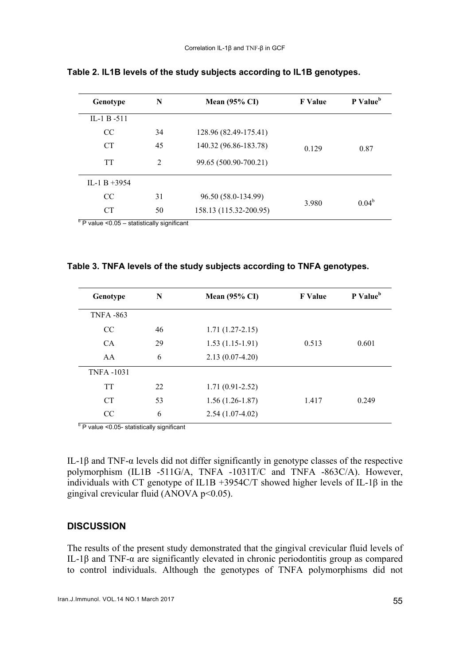| Genotype        | N  | <b>Mean (95% CI)</b>   | <b>F</b> Value | P Value <sup>b</sup> |
|-----------------|----|------------------------|----------------|----------------------|
| IL-1 B -511     |    |                        |                |                      |
| <sub>CC</sub>   | 34 | 128.96 (82.49-175.41)  |                |                      |
| <b>CT</b>       | 45 | 140.32 (96.86-183.78)  | 0.129          | 0.87                 |
| <b>TT</b>       | 2  | 99.65 (500.90-700.21)  |                |                      |
| $IL-1 B + 3954$ |    |                        |                |                      |
| <sub>CC</sub>   | 31 | 96.50 (58.0-134.99)    |                | $0.04^b$             |
| <b>CT</b>       | 50 | 158.13 (115.32-200.95) | 3.980          |                      |

**Table 2. IL1B levels of the study subjects according to IL1B genotypes.** 

 $b$  P value <0.05 – statistically significant

| Genotype         | N  | <b>Mean (95% CI)</b> | <b>F</b> Value | P Value <sup>b</sup> |
|------------------|----|----------------------|----------------|----------------------|
| <b>TNFA -863</b> |    |                      |                |                      |
| CC               | 46 | $1.71(1.27-2.15)$    |                |                      |
| <b>CA</b>        | 29 | $1.53(1.15-1.91)$    | 0.513          | 0.601                |
| AA               | 6  | $2.13(0.07-4.20)$    |                |                      |
| <b>TNFA-1031</b> |    |                      |                |                      |
| <b>TT</b>        | 22 | $1.71(0.91 - 2.52)$  |                |                      |
| CT               | 53 | $1.56(1.26-1.87)$    | 1.417          | 0.249                |
| CC               | 6  | $2.54(1.07-4.02)$    |                |                      |

<sup>b</sup> P value <0.05- statistically significant

IL-1β and TNF-α levels did not differ significantly in genotype classes of the respective polymorphism (IL1B -511G/A, TNFA -1031T/C and TNFA -863C/A). However, individuals with CT genotype of IL1B +3954C/T showed higher levels of IL-1 $\beta$  in the gingival crevicular fluid (ANOVA p<0.05).

## **DISCUSSION**

The results of the present study demonstrated that the gingival crevicular fluid levels of IL-1β and TNF-α are significantly elevated in chronic periodontitis group as compared to control individuals. Although the genotypes of TNFA polymorphisms did not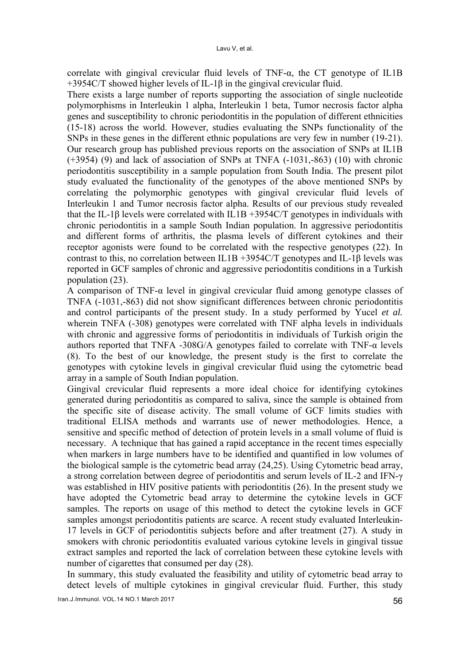correlate with gingival crevicular fluid levels of TNF- $\alpha$ , the CT genotype of IL1B +3954C/T showed higher levels of IL-1β in the gingival crevicular fluid.

There exists a large number of reports supporting the association of single nucleotide polymorphisms in Interleukin 1 alpha, Interleukin 1 beta, Tumor necrosis factor alpha genes and susceptibility to chronic periodontitis in the population of different ethnicities (15-18) across the world. However, studies evaluating the SNPs functionality of the SNPs in these genes in the different ethnic populations are very few in number (19-21). Our research group has published previous reports on the association of SNPs at IL1B (+3954) (9) and lack of association of SNPs at TNFA (-1031,-863) (10) with chronic periodontitis susceptibility in a sample population from South India. The present pilot study evaluated the functionality of the genotypes of the above mentioned SNPs by correlating the polymorphic genotypes with gingival crevicular fluid levels of Interleukin 1 and Tumor necrosis factor alpha. Results of our previous study revealed that the IL-1β levels were correlated with IL1B +3954C/T genotypes in individuals with chronic periodontitis in a sample South Indian population. In aggressive periodontitis and different forms of arthritis, the plasma levels of different cytokines and their receptor agonists were found to be correlated with the respective genotypes (22). In contrast to this, no correlation between IL1B +3954C/T genotypes and IL-1β levels was reported in GCF samples of chronic and aggressive periodontitis conditions in a Turkish population (23).

A comparison of TNF-α level in gingival crevicular fluid among genotype classes of TNFA (-1031,-863) did not show significant differences between chronic periodontitis and control participants of the present study. In a study performed by Yucel *et al.* wherein TNFA (-308) genotypes were correlated with TNF alpha levels in individuals with chronic and aggressive forms of periodontitis in individuals of Turkish origin the authors reported that TNFA -308G/A genotypes failed to correlate with TNF- $\alpha$  levels (8). To the best of our knowledge, the present study is the first to correlate the genotypes with cytokine levels in gingival crevicular fluid using the cytometric bead array in a sample of South Indian population.

Gingival crevicular fluid represents a more ideal choice for identifying cytokines generated during periodontitis as compared to saliva, since the sample is obtained from the specific site of disease activity. The small volume of GCF limits studies with traditional ELISA methods and warrants use of newer methodologies. Hence, a sensitive and specific method of detection of protein levels in a small volume of fluid is necessary. A technique that has gained a rapid acceptance in the recent times especially when markers in large numbers have to be identified and quantified in low volumes of the biological sample is the cytometric bead array (24,25). Using Cytometric bead array, a strong correlation between degree of periodontitis and serum levels of IL-2 and IFN-γ was established in HIV positive patients with periodontitis (26). In the present study we have adopted the Cytometric bead array to determine the cytokine levels in GCF samples. The reports on usage of this method to detect the cytokine levels in GCF samples amongst periodontitis patients are scarce. A recent study evaluated Interleukin-17 levels in GCF of periodontitis subjects before and after treatment (27). A study in smokers with chronic periodontitis evaluated various cytokine levels in gingival tissue extract samples and reported the lack of correlation between these cytokine levels with number of cigarettes that consumed per day (28).

In summary, this study evaluated the feasibility and utility of cytometric bead array to detect levels of multiple cytokines in gingival crevicular fluid. Further, this study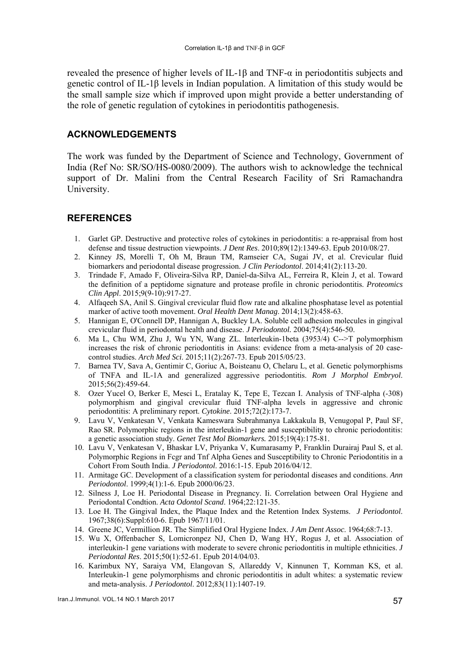revealed the presence of higher levels of IL-1β and TNF-α in periodontitis subjects and genetic control of IL-1β levels in Indian population. A limitation of this study would be the small sample size which if improved upon might provide a better understanding of the role of genetic regulation of cytokines in periodontitis pathogenesis.

## **ACKNOWLEDGEMENTS**

The work was funded by the Department of Science and Technology, Government of India (Ref No: SR/SO/HS-0080/2009). The authors wish to acknowledge the technical support of Dr. Malini from the Central Research Facility of Sri Ramachandra University.

# **REFERENCES**

- 1. Garlet GP. Destructive and protective roles of cytokines in periodontitis: a re-appraisal from host defense and tissue destruction viewpoints. *J Dent Res*. 2010;89(12):1349-63. Epub 2010/08/27.
- 2. Kinney JS, Morelli T, Oh M, Braun TM, Ramseier CA, Sugai JV, et al. Crevicular fluid biomarkers and periodontal disease progression. *J Clin Periodontol*. 2014;41(2):113-20.
- 3. Trindade F, Amado F, Oliveira-Silva RP, Daniel-da-Silva AL, Ferreira R, Klein J, et al. Toward the definition of a peptidome signature and protease profile in chronic periodontitis. *Proteomics Clin Appl*. 2015;9(9-10):917-27.
- 4. Alfaqeeh SA, Anil S. Gingival crevicular fluid flow rate and alkaline phosphatase level as potential marker of active tooth movement. *Oral Health Dent Manag*. 2014;13(2):458-63.
- 5. Hannigan E, O'Connell DP, Hannigan A, Buckley LA. Soluble cell adhesion molecules in gingival crevicular fluid in periodontal health and disease. *J Periodontol.* 2004;75(4):546-50.
- 6. Ma L, Chu WM, Zhu J, Wu YN, Wang ZL. Interleukin-1beta (3953/4) C-->T polymorphism increases the risk of chronic periodontitis in Asians: evidence from a meta-analysis of 20 casecontrol studies. *Arch Med Sci*. 2015;11(2):267-73. Epub 2015/05/23.
- 7. Barnea TV, Sava A, Gentimir C, Goriuc A, Boisteanu O, Chelaru L, et al. Genetic polymorphisms of TNFA and IL-1A and generalized aggressive periodontitis. *Rom J Morphol Embryol*. 2015;56(2):459-64.
- 8. Ozer Yucel O, Berker E, Mesci L, Eratalay K, Tepe E, Tezcan I. Analysis of TNF-alpha (-308) polymorphism and gingival crevicular fluid TNF-alpha levels in aggressive and chronic periodontitis: A preliminary report. *Cytokine*. 2015;72(2):173-7.
- 9. Lavu V, Venkatesan V, Venkata Kameswara Subrahmanya Lakkakula B, Venugopal P, Paul SF, Rao SR. Polymorphic regions in the interleukin-1 gene and susceptibility to chronic periodontitis: a genetic association study. *Genet Test Mol Biomarkers.* 2015;19(4):175-81.
- 10. Lavu V, Venkatesan V, Bhaskar LV, Priyanka V, Kumarasamy P, Franklin Durairaj Paul S, et al. Polymorphic Regions in Fcgr and Tnf Alpha Genes and Susceptibility to Chronic Periodontitis in a Cohort From South India. *J Periodontol*. 2016:1-15. Epub 2016/04/12.
- 11. Armitage GC. Development of a classification system for periodontal diseases and conditions. *Ann Periodontol*. 1999;4(1):1-6. Epub 2000/06/23.
- 12. Silness J, Loe H. Periodontal Disease in Pregnancy. Ii. Correlation between Oral Hygiene and Periodontal Condtion. *Acta Odontol Scand*. 1964;22:121-35.
- 13. Loe H. The Gingival Index, the Plaque Index and the Retention Index Systems. *J Periodontol*. 1967;38(6):Suppl:610-6. Epub 1967/11/01.
- 14. Greene JC, Vermillion JR. The Simplified Oral Hygiene Index. *J Am Dent Assoc*. 1964;68:7-13.
- 15. Wu X, Offenbacher S, Lomicronpez NJ, Chen D, Wang HY, Rogus J, et al. Association of interleukin-1 gene variations with moderate to severe chronic periodontitis in multiple ethnicities. *J Periodontal Res*. 2015;50(1):52-61. Epub 2014/04/03.
- 16. Karimbux NY, Saraiya VM, Elangovan S, Allareddy V, Kinnunen T, Kornman KS, et al. Interleukin-1 gene polymorphisms and chronic periodontitis in adult whites: a systematic review and meta-analysis. *J Periodontol*. 2012;83(11):1407-19.

Iran.J.Immunol. VOL.14 NO.1 March 2017 57